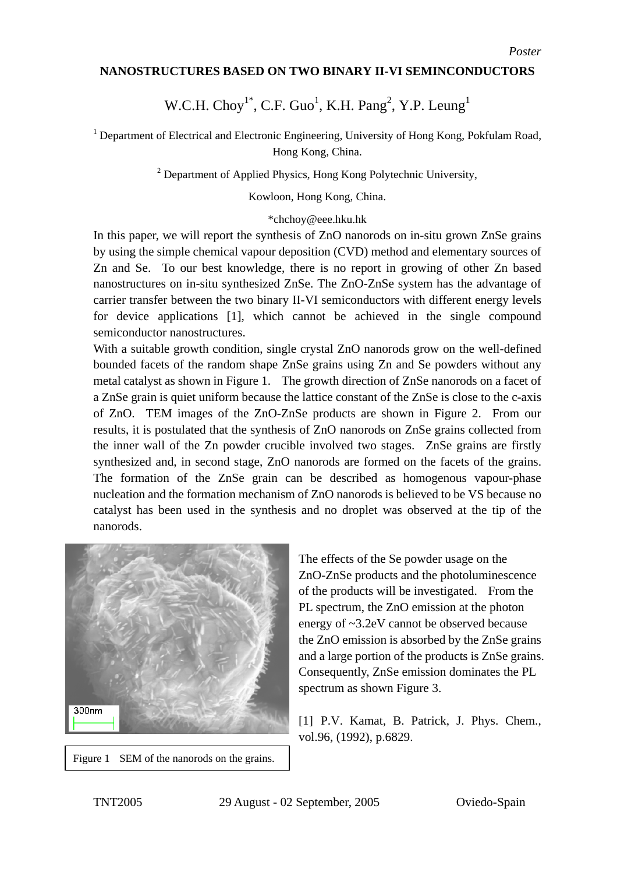## **NANOSTRUCTURES BASED ON TWO BINARY II-VI SEMINCONDUCTORS**

## W.C.H.  $Choy^{1*}$ , C.F. Guo<sup>1</sup>, K.H. Pang<sup>2</sup>, Y.P. Leung<sup>1</sup>

<sup>1</sup> Department of Electrical and Electronic Engineering, University of Hong Kong, Pokfulam Road, Hong Kong, China.

<sup>2</sup> Department of Applied Physics, Hong Kong Polytechnic University,

Kowloon, Hong Kong, China.

## \*chchoy@eee.hku.hk

In this paper, we will report the synthesis of ZnO nanorods on in-situ grown ZnSe grains by using the simple chemical vapour deposition (CVD) method and elementary sources of Zn and Se. To our best knowledge, there is no report in growing of other Zn based nanostructures on in-situ synthesized ZnSe. The ZnO-ZnSe system has the advantage of carrier transfer between the two binary II-VI semiconductors with different energy levels for device applications [1], which cannot be achieved in the single compound semiconductor nanostructures.

With a suitable growth condition, single crystal ZnO nanorods grow on the well-defined bounded facets of the random shape ZnSe grains using Zn and Se powders without any metal catalyst as shown in Figure 1. The growth direction of ZnSe nanorods on a facet of a ZnSe grain is quiet uniform because the lattice constant of the ZnSe is close to the c-axis of ZnO. TEM images of the ZnO-ZnSe products are shown in Figure 2. From our results, it is postulated that the synthesis of ZnO nanorods on ZnSe grains collected from the inner wall of the Zn powder crucible involved two stages. ZnSe grains are firstly synthesized and, in second stage, ZnO nanorods are formed on the facets of the grains. The formation of the ZnSe grain can be described as homogenous vapour-phase nucleation and the formation mechanism of ZnO nanorods is believed to be VS because no catalyst has been used in the synthesis and no droplet was observed at the tip of the nanorods.



Figure 1 SEM of the nanorods on the grains.

and a large portion of the products is ZnSe grains. The effects of the Se powder usage on the ZnO-ZnSe products and the photoluminescence of the products will be investigated. From the PL spectrum, the ZnO emission at the photon energy of ~3.2eV cannot be observed because the ZnO emission is absorbed by the ZnSe grains Consequently, ZnSe emission dominates the PL spectrum as shown Figure 3.

[1] P.V. Kamat, B. Patrick, J. Phys. Chem., vol.96, (1992), p.6829.